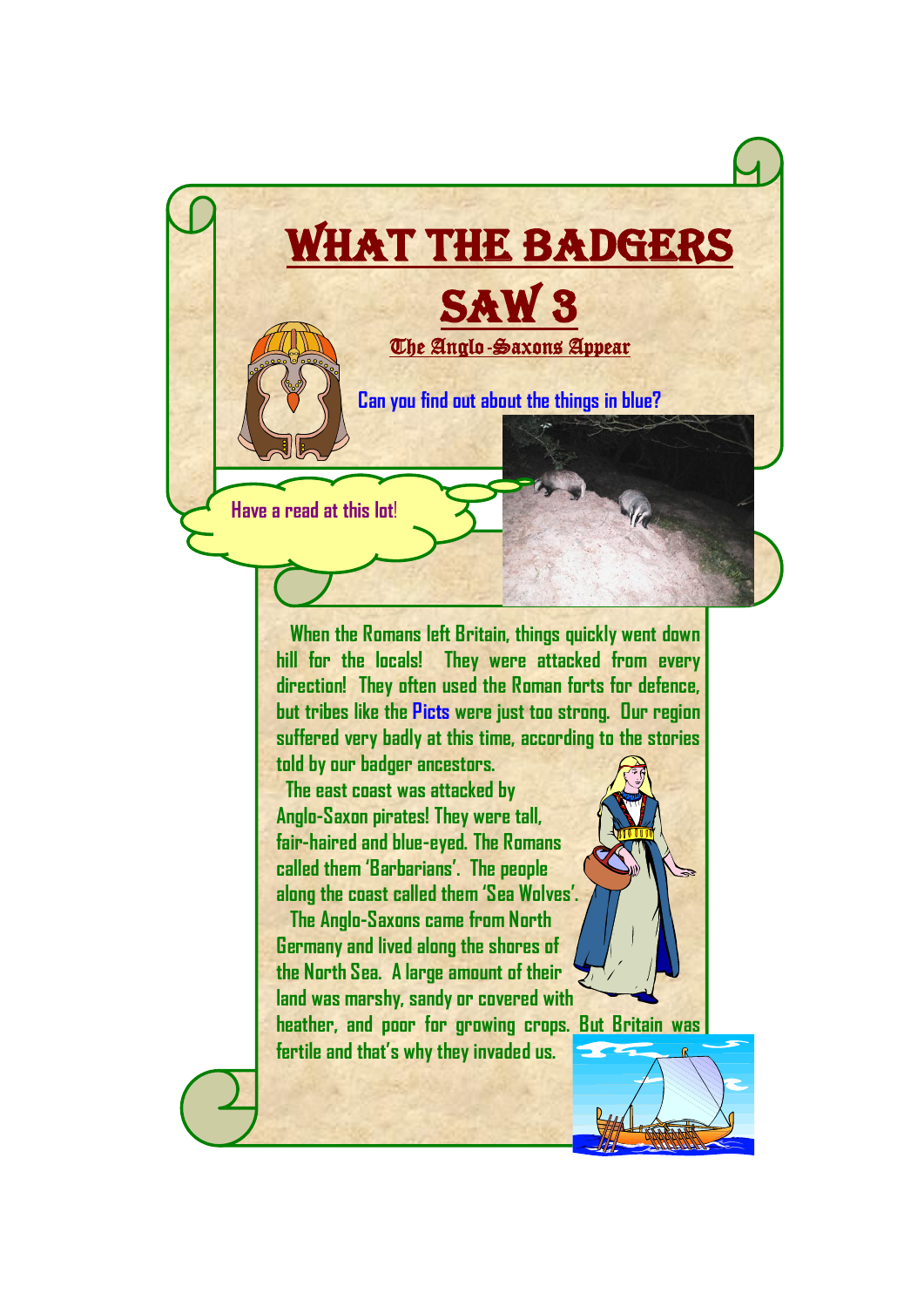

 **When the Romans left Britain, things quickly went down hill for the locals! They were attacked from every direction! They often used the Roman forts for defence, but tribes like the Picts were just too strong. Our region suffered very badly at this time, according to the stories** 

**told by our badger ancestors.**

 **The east coast was attacked by Anglo-Saxon pirates! They were tall, fair-haired and blue-eyed. The Romans called them 'Barbarians'. The people along the coast called them 'Sea Wolves'.**

 **The Anglo-Saxons came from North Germany and lived along the shores of the North Sea. A large amount of their land was marshy, sandy or covered with heather, and poor for growing crops. But Britain was** 

**fertile and that's why they invaded us.**

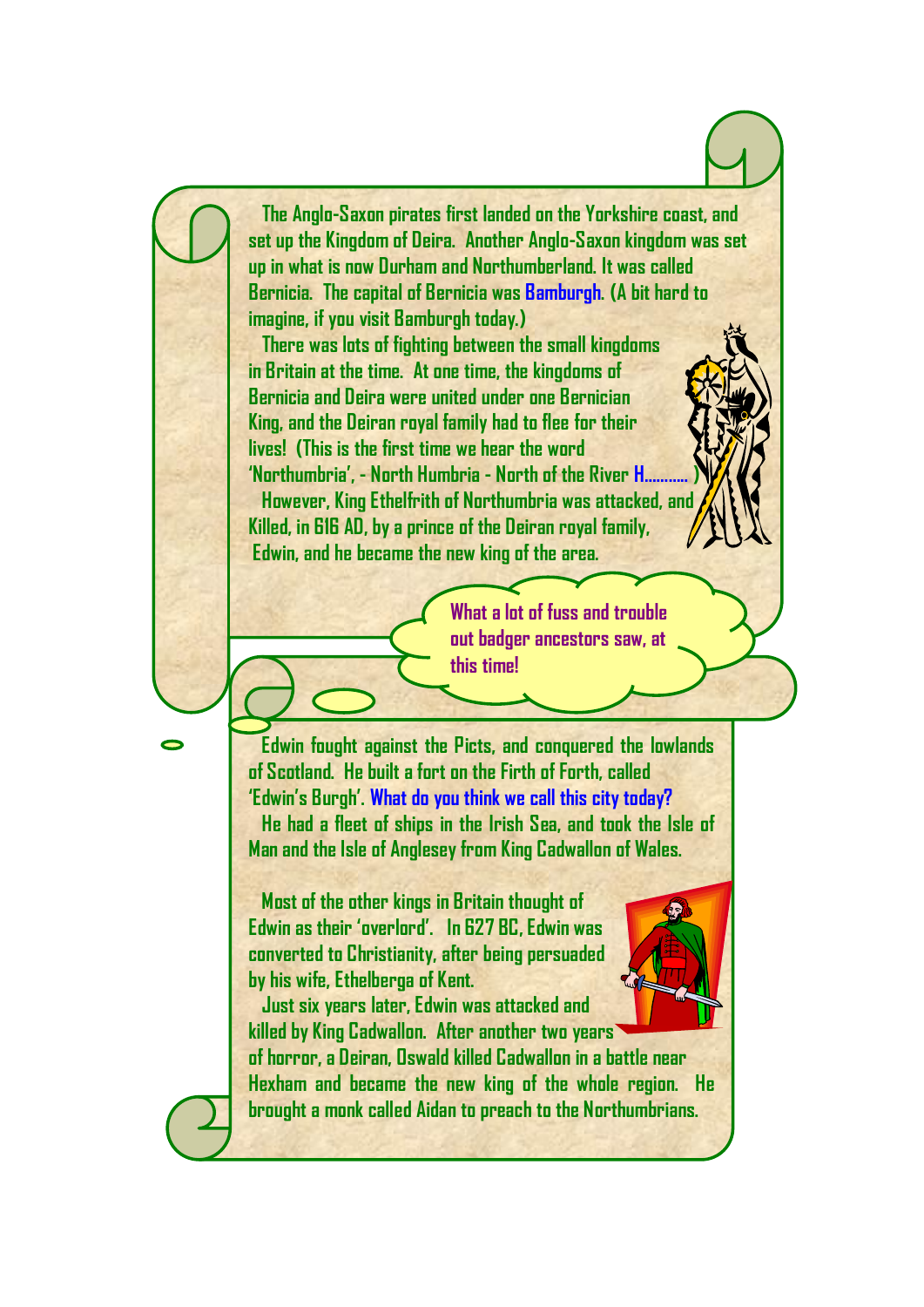

**by his wife, Ethelberga of Kent. Just six years later, Edwin was attacked and**



**killed by King Cadwallon. After another two years of horror, a Deiran, Oswald killed Cadwallon in a battle near Hexham and became the new king of the whole region. He brought a monk called Aidan to preach to the Northumbrians.**